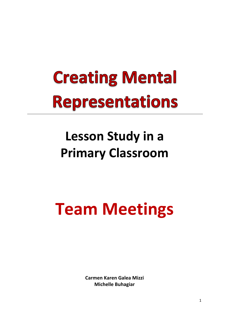# **Creating Mental Representations**

### Lesson Study in a **Primary Classroom**

## **Team Meetings**

**Carmen Karen Galea Mizzi Michelle Buhagiar**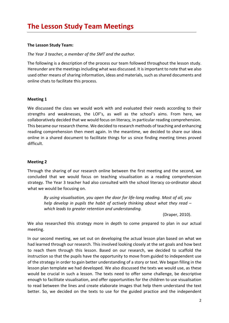#### **The Lesson Study Team:**

The Year 3 teacher, a member of the SMT and the author.

The following is a description of the process our team followed throughout the lesson study. Hereunder are the meetings including what was discussed. It is important to note that we also used other means of sharing information, ideas and materials, such as shared documents and online chats to facilitate this process.

#### **Meeting 1**

We discussed the class we would work with and evaluated their needs according to their strengths and weaknesses, the LOF's, as well as the school's aims. From here, we collaboratively decided that we would focus on literacy, in particular reading comprehension. This became our research theme. We decided to research methods of teaching and enhancing reading comprehension then meet again. In the meantime, we decided to share our ideas online in a shared document to facilitate things for us since finding meeting times proved difficult. 

#### **Meeting 2**

Through the sharing of our research online between the first meeting and the second, we concluded that we would focus on teaching visualisation as a reading comprehension strategy. The Year 3 teacher had also consulted with the school literacy co-ordinator about what we would be focusing on.

By using visualisation, you open the door for life-long reading. Most of all, you *help* develop in pupils the habit of actively thinking about what they read – *which leads to greater retention and understanding.*

(Draper, 2010).

We also researched this strategy more in depth to come prepared to plan in our actual meeting. 

In our second meeting, we set out on developing the actual lesson plan based on what we had learned through our research. This involved looking closely at the set goals and how best to reach them through this lesson. Based on our research, we decided to scaffold the instruction so that the pupils have the opportunity to move from guided to independent use of the strategy in order to gain better understanding of a story or text. We began filling in the lesson plan template we had developed. We also discussed the texts we would use, as these would be crucial in such a lesson. The texts need to offer some challenge, be descriptive enough to facilitate visualisation, and offer opportunities for the children to use visualisation to read between the lines and create elaborate images that help them understand the text better. So, we decided on the texts to use for the guided practice and the independent